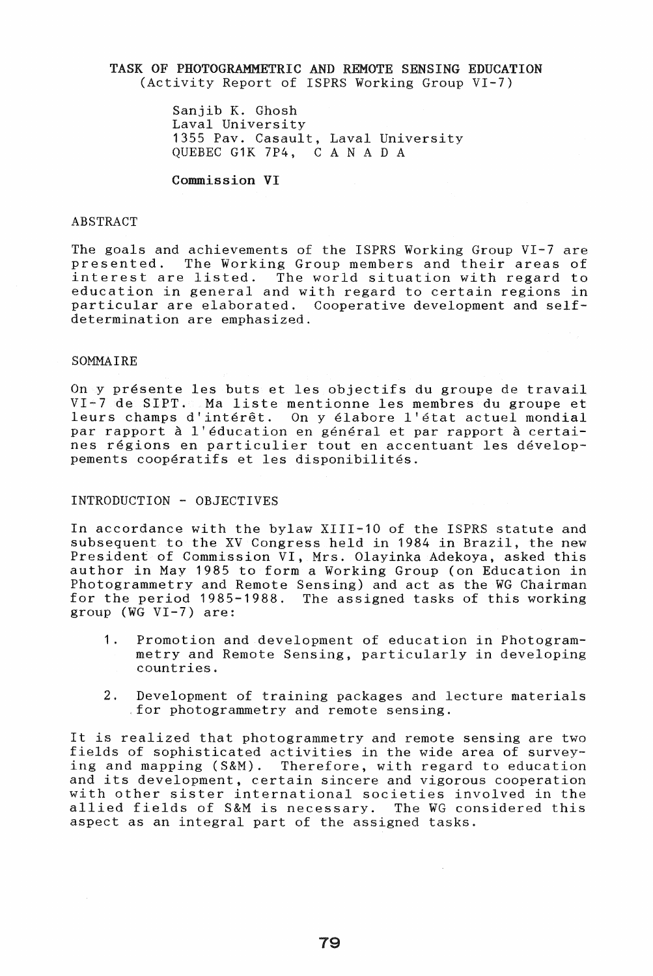### TASK OF PHOTOGRAMMETRIC AND REMOTE SENSING EDUCATION (Activity Report of ISPRS Working Group VI-7)

Sanjib K. Ghosh Laval University 1355 Pav. Casault, Laval University QUEBEC G1K 7P4, CAN A D A

Commission VI

## ABSTRACT

The goals and achievements of the ISPRS Working Group VI-7 are<br>presented. The Working Group members and their areas of presented. The Working Group members and their areas of The world situation with regard to education in general and with regard to certain regions in particular are elaborated. Cooperative development and selfdetermination are emphasized.

#### SOMMAIRE

On y presente les buts et les objectifs du groupe de travail VI-7 de SIPT. Ma liste mentionne les membres du groupe et leurs champs d'inter€t. On y elabore l'etat actuel mondial par rapport à l'éducation en général et par rapport à certaines regions en particulier tout en accentuant les developpements coopératifs et les disponibilités.

### INTRODUCTION - OBJECTIVES

In accordance with the bylaw XIII-10 of the ISPRS statute and subsequent to the XV Congress held in 1984 in Brazil, the new President of Commission VI, Mrs. Olayinka Adekoya, asked this author in May 1985 to form a Working Group (on Education in Photogrammetry and Remote Sensing) and act as the WG Chairman for the period 1985-1988. The assigned tasks of this working group (WG VI-7) are:

- 1. Promotion and development of education in Photogrammetry and Remote Sensing, particularly in developing countries.
- 2. Development of training packages and lecture materials for photogrammetry and remote sensing.

It is realized that photogrammetry and remote sensing are two fields of sophisticated activities in the wide area of surveying and mapping (S&M). Therefore, with regard to education and its development, certain sincere and vigorous cooperation with other sister international societies involved in the allied fields of S&M is necessary. The WG considered this aspect as an integral part of the assigned tasks.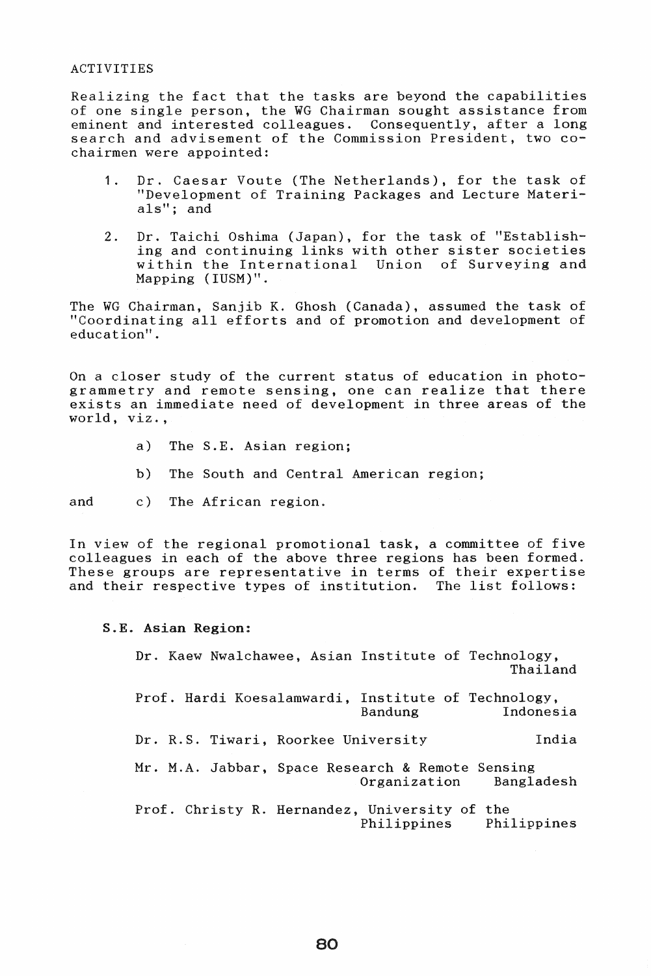#### ACTIVITIES

Realizing the fact that the tasks are beyond the capabilities of one single person, the WG Chairman sought assistance from eminent and interested colleagues. Consequently, after a long search and advisement of the Commission President, two cochairmen were appointed:

- 1. Dr. Caesar Voute (The Netherlands), for the task of "Development of Training Packages and Lecture Materials"; and
- 2. Dr. Taichi Oshima (Japan), for the task of "Establishing and continuing links with other sister societies within the International Union of Surveying and Mapping (IUSM)".

The WG Chairman, Sanjib K. Ghosh (Canada), assumed the task of "Coordinating all efforts and of promotion and development of education".

On a closer study of the current status of education in photogrammetry and remote sensing, one can realize that there exists an immediate need of development in three areas of the world, viz.,

- a) The S.E. Asian region;
- b) The South and Central American region;

and c) The African region.

In view of the regional promotional task, a committee of five colleagues in each of the above three regions has been formed. These groups are representative in terms of their expertise and their respective types of institution. The list follows:

S.E. Asian Region:

Dr. Kaew Nwalchawee, Asian Institute of Technology, Thailand Prof. Hardi Koesalamwardi, Institute of Technology, Indonesia Dr. R.S. Tiwari, Roorkee University India Mr. M.A. Jabbar, Space Research & Remote Sensing Organization Bangladesh Prof. Christy R. Hernandez, University of the Philippines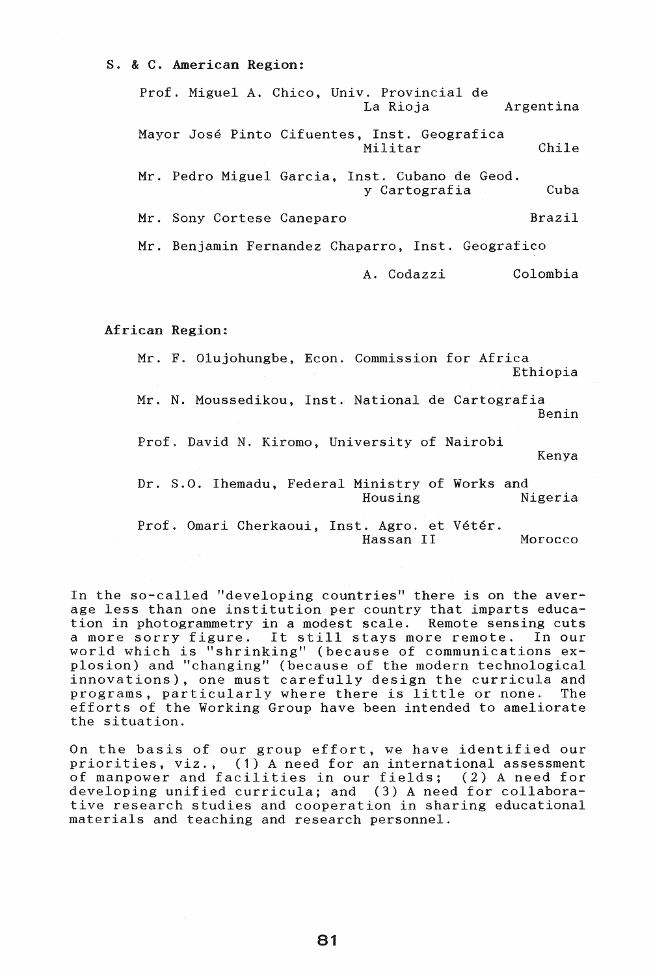## s. & C. American Region:

Prof. Miguel A. Chico, Univ. Provincial de Argentina Mayor Jose Pinto Cifuentes, Inst. Geografica Militar Chile Mr. Pedro Miguel Garcia, Inst. Cubano de Geod. y Cartografia Cuba Mr. Sony Cortese Caneparo Brazil Mr. Benjamin Fernandez Chaparro, Inst. Geografico A. Codazzi Colombia

African Region:

Mr. F. Olujohungbe, Econ. Commission for Africa Ethiopia

Mr. N. Moussedikou, Inst. National de Cartografia Benin

Prof. David N. Kiromo, University of Nairobi

Kenya

Dr. S.O. Ihemadu, Federal Ministry of Works and<br>Housing Nigeria

Prof. Omari Cherkaoui, Inst. Agro. et Vétér. Hassan II Morocco

In the so-called "developing countries" there is on the average less than one institution per country that imparts education in photogrammetry in a modest scale. Remote sensing cuts a more sorry figure. It still stays more remote. In our world which is "shrinking" (because of communications explosion) and "changing" (because of the modern technological innovations), one must carefully design the curricula and programs, particularly where there is little or none. The efforts of the Working Group have been intended to ameliorate the situation.

On the basis of our group effort, we have identified our priorities, viz., (1) A need for an international assessment of manpower and facilities in our fields; (2) A need for developing unified curricula; and (3) A need for collaborative research studies and cooperation in sharing educational materials and teaching and research personnel.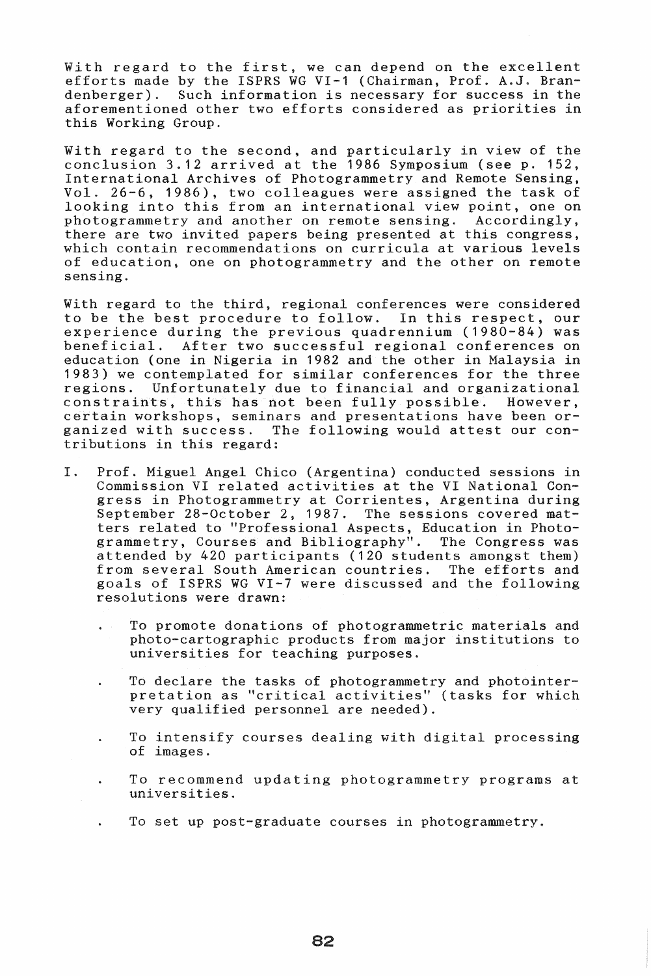With regard to the first, we can depend on the excellent efforts made by the ISPRS WG VI-1 (Chairman, Prof. A.J. Bran-<br>denberger). Such information is necessary for success in the Such information is necessary for success in the aforementioned other two efforts considered as priorities in this Working Group.

With regard to the second, and particularly in view of the conclusion 3.12 arrived at the 1986 Symposium (see p. 152, International Archives of Photogrammetry and Remote Sensing, Vol. 26-6, 1986), two colleagues were assigned the task of looking into this from an international view point, one on photogrammetry and another on remote sensing. Accordingly, photogrammetry and another on remote sensing. there are two invited papers being presented at this congress, which contain recommendations on curricula at various levels of education, one on photogrammetry and the other on remote sensing.

With regard to the third, regional conferences were considered to be the best procedure to follow. In this respect, our experience during the previous quadrennium  $(1980-84)$  was<br>beneficial. After two successful regional conferences on After two successful regional conferences on education (one in Nigeria in 1982 and the other in Malaysia in 1983) we contemplated for similar conferences for the three Unfortunately due to financial and organizational constraints, this has not been fully possible. However, certain workshops, seminars and presentations have been organized with success. The following would attest our contributions in this regard:

- I. Prof. Miguel Angel Chico (Argentina) conducted sessions in Commission VI related activities at the VI National Congress in Photogrammetry at Corrientes, Argentina during September 28-October 2, 1987. The sessions covered matters related to "Professional Aspects, Education in Photogrammetry, Courses and Bibliography". The Congress was attended by 420 participants (120 students amongst them) from several South American countries. The efforts and goals of ISPRS WG VI-7 were discussed and the following resolutions were drawn:
	- To promote donations of photogrammetric materials and photo-cartographic products from major institutions to universities for teaching purposes.
	- To declare the tasks of photogrammetry and photointerpretation as "critical activities" (tasks for which very qualified personnel are needed).
	- To intensify courses dealing with digital processing of images.
	- To recommend updating photogrammetry programs at universities.
	- To set up post-graduate courses in photogrammetry.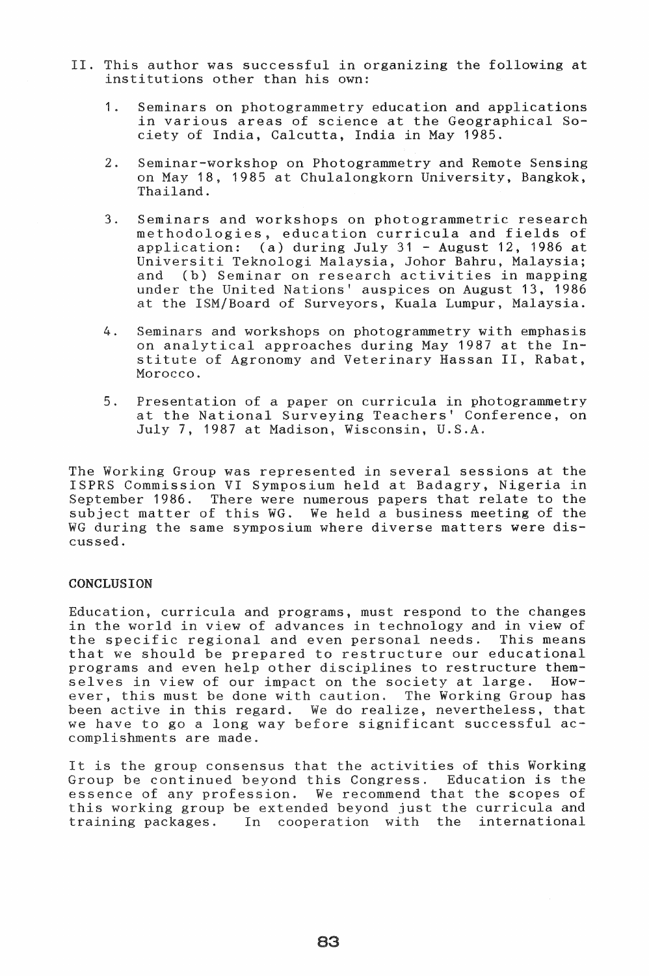- II. This author was successful in organizing the following at institutions other than his own:
	- 1. Seminars on photogrammetry education and applications in various areas of science at the Geographical Society of India, Calcutta, India in May 1985.
	- 2. Seminar-workshop on Photogrammetry and Remote Sensing on May 18, 1985 at Chulalongkorn University, Bangkok, Thailand.
	- 3. Seminars and workshops on photogrammetric research methodologies, education curricula and fields of application: (a) during July  $31$  - August 12, 1986 at Universiti Teknologi Malaysia, Johor Bahru, Malaysia; and (b) Seminar on research activities in mapping under the United Nations' auspices on August 13, 1986 at the ISM/Board of Surveyors, Kuala Lumpur, Malaysia.
	- 4. Seminars and workshops on photogrammetry with emphasis on analytical approaches during May 1987 at the Institute of Agronomy and Veterinary Hassan II, Rabat, Morocco.
	- 5. Presentation of a paper on curricula in photogrammetry at the National Surveying Teachers' Conference, on July 7, 1987 at Madison, Wisconsin, U.S.A.

The Working Group was represented in several sessions at the ISPRS Commission VI Symposium held at Badagry, Nigeria in September 1986. There were numerous papers that relate to the subject matter of this WG. We held a business meeting of the WG during the same symposium where diverse matters were discussed.

# CONCLUSION

Education, curricula and programs, must respond to the changes in the world in view of advances in technology and in view of the specific regional and even personal needs. This means that we should be prepared to restructure our educational programs and even help other disciplines to restructure them-<br>selves in view of our impact on the society at large. Howselves in view of our impact on the society at large. ever, this must be done with caution. The Working Group has been active in this regard. We do realize, nevertheless, that we have to go a long way before significant successful accomplishments are made.

It is the group consensus that the activities of this Working Group be continued beyond this Congress. Education is the essence of any profession. We recommend that the scopes of essence of any profession. We recommend that the scopes of this working group be extended beyond just the curricula and training packages. In cooperation with the international